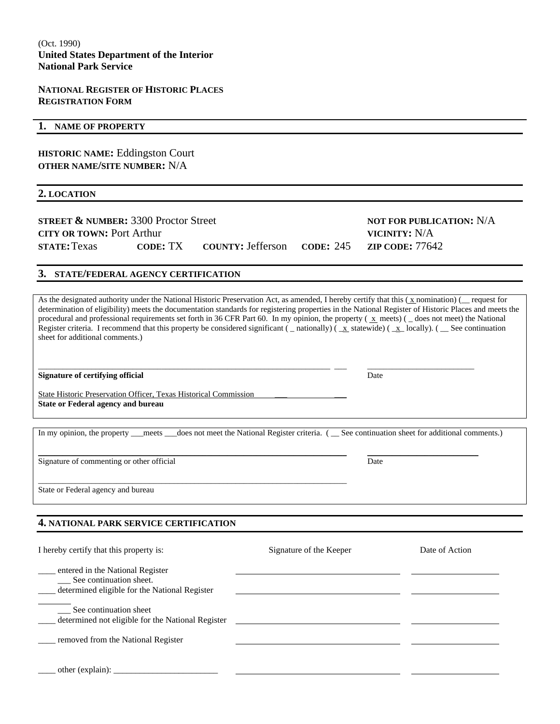#### **NATIONAL REGISTER OF HISTORIC PLACES REGISTRATION FORM**

#### **1. NAME OF PROPERTY**

**HISTORIC NAME:** Eddingston Court **OTHER NAME/SITE NUMBER:** N/A

**2. LOCATION**

| <b>STREET &amp; NUMBER: 3300 Proctor Street</b> |          |                          |           | NOT FOR PUBLICATION: N/A |
|-------------------------------------------------|----------|--------------------------|-----------|--------------------------|
| CITY OR TOWN: Port Arthur                       |          |                          |           | VICINITY: N/A            |
| <b>STATE: Texas</b>                             | CODE: TX | <b>COUNTY: Jefferson</b> | CODE: 245 | <b>ZIP CODE: 77642</b>   |

#### **3. STATE/FEDERAL AGENCY CERTIFICATION**

As the designated authority under the National Historic Preservation Act, as amended, I hereby certify that this ( $\chi$  nomination) ( request for determination of eligibility) meets the documentation standards for registering properties in the National Register of Historic Places and meets the procedural and professional requirements set forth in 36 CFR Part 60. In my opinion, the property ( $\bar{x}$  meets) ( $\bar{z}$  does not meet) the National Register criteria. I recommend that this property be considered significant ( \_ nationally) ( \_x\_ statewide) ( \_x\_ locally). ( \_ See continuation sheet for additional comments.)

**Signature of certifying official** Date

State Historic Preservation Officer, Texas Historical Commission **State or Federal agency and bureau** 

\_\_\_\_\_\_\_\_\_\_\_\_\_\_\_\_\_\_\_\_\_\_\_\_\_\_\_\_\_\_\_\_\_\_\_\_\_\_\_\_\_\_\_\_\_\_\_\_\_\_\_\_\_\_\_\_\_\_\_\_\_\_\_\_\_\_\_\_\_\_\_\_\_\_\_

In my opinion, the property \_\_meets \_\_does not meet the National Register criteria. ( \_ See continuation sheet for additional comments.)

\_\_\_\_\_\_\_\_\_\_\_\_\_\_\_\_\_\_\_\_\_\_\_\_\_\_\_\_\_\_\_\_\_\_\_\_\_\_\_\_\_\_\_\_\_\_\_\_\_\_\_\_\_\_\_\_\_\_\_\_\_\_\_\_\_\_\_\_\_\_\_\_\_\_\_ \_\_\_\_\_\_\_\_\_\_\_\_\_\_\_\_\_\_\_\_\_\_\_\_\_\_\_

\_\_\_\_\_\_\_\_\_\_\_\_\_\_\_\_\_\_\_\_\_\_\_\_\_\_\_\_\_\_\_\_\_\_\_\_\_\_\_\_\_\_\_\_\_\_\_\_\_\_\_\_\_\_\_\_\_\_\_\_\_\_\_\_\_\_\_\_\_\_\_ \_\_\_ \_\_\_\_\_\_\_\_\_\_\_\_\_\_\_\_\_\_\_\_\_\_\_\_\_\_

Signature of commenting or other official Date

State or Federal agency and bureau

#### **4. NATIONAL PARK SERVICE CERTIFICATION**

| I hereby certify that this property is:                                                                              | Signature of the Keeper | Date of Action |
|----------------------------------------------------------------------------------------------------------------------|-------------------------|----------------|
| ____ entered in the National Register<br>__ See continuation sheet.<br>determined eligible for the National Register |                         |                |
| See continuation sheet<br>determined not eligible for the National Register                                          |                         |                |
| removed from the National Register                                                                                   |                         |                |
| other (explain):                                                                                                     |                         |                |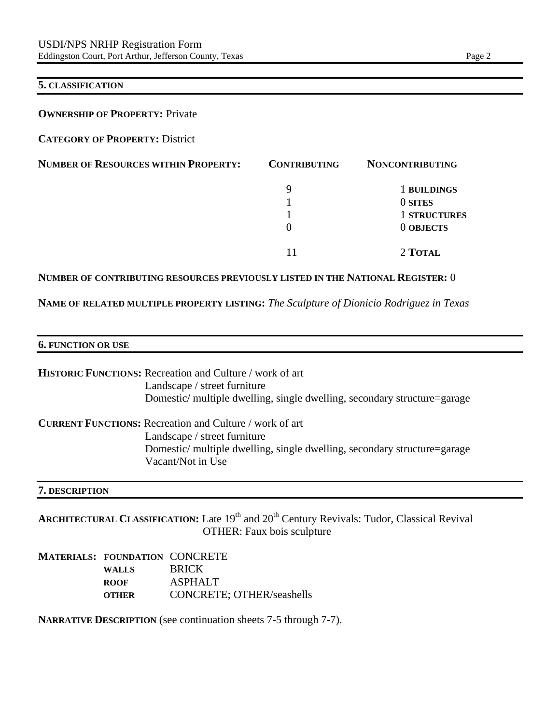#### **5. CLASSIFICATION**

**OWNERSHIP OF PROPERTY: Private** 

**CATEGORY OF PROPERTY:** District

| <b>NUMBER OF RESOURCES WITHIN PROPERTY:</b> | <b>CONTRIBUTING</b> | <b>NONCONTRIBUTING</b> |
|---------------------------------------------|---------------------|------------------------|
|                                             | 9                   | 1 BUILDINGS            |
|                                             |                     | 0 SITES                |
|                                             |                     | 1 STRUCTURES           |
|                                             | 0                   | 0 OBJECTS              |
|                                             |                     | 2 TOTAL                |

#### **NUMBER OF CONTRIBUTING RESOURCES PREVIOUSLY LISTED IN THE NATIONAL REGISTER:** 0

**NAME OF RELATED MULTIPLE PROPERTY LISTING:** *The Sculpture of Dionicio Rodriguez in Texas*

#### **6. FUNCTION OR USE**

**HISTORIC FUNCTIONS:** Recreation and Culture / work of art Landscape / street furniture Domestic/ multiple dwelling, single dwelling, secondary structure=garage

**CURRENT FUNCTIONS:** Recreation and Culture / work of art Landscape / street furniture Domestic/ multiple dwelling, single dwelling, secondary structure=garage Vacant/Not in Use

#### **7. DESCRIPTION**

ARCHITECTURAL CLASSIFICATION: Late 19<sup>th</sup> and 20<sup>th</sup> Century Revivals: Tudor, Classical Revival OTHER: Faux bois sculpture

### **MATERIALS: FOUNDATION** CONCRETE **WALLS** BRICK **ROOF** ASPHALT **OTHER** CONCRETE; OTHER/seashells

**NARRATIVE DESCRIPTION** (see continuation sheets 7-5 through 7-7).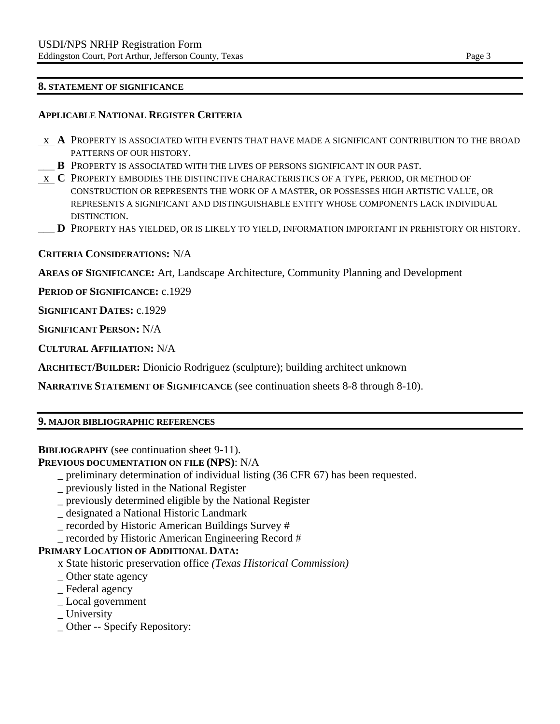#### **8. STATEMENT OF SIGNIFICANCE**

#### **APPLICABLE NATIONAL REGISTER CRITERIA**

- x **A** PROPERTY IS ASSOCIATED WITH EVENTS THAT HAVE MADE A SIGNIFICANT CONTRIBUTION TO THE BROAD PATTERNS OF OUR HISTORY.
- \_\_\_ **B** PROPERTY IS ASSOCIATED WITH THE LIVES OF PERSONS SIGNIFICANT IN OUR PAST.
- x **C** PROPERTY EMBODIES THE DISTINCTIVE CHARACTERISTICS OF A TYPE, PERIOD, OR METHOD OF CONSTRUCTION OR REPRESENTS THE WORK OF A MASTER, OR POSSESSES HIGH ARTISTIC VALUE, OR REPRESENTS A SIGNIFICANT AND DISTINGUISHABLE ENTITY WHOSE COMPONENTS LACK INDIVIDUAL DISTINCTION.
- \_\_\_ **D** PROPERTY HAS YIELDED, OR IS LIKELY TO YIELD, INFORMATION IMPORTANT IN PREHISTORY OR HISTORY.

#### **CRITERIA CONSIDERATIONS:** N/A

**AREAS OF SIGNIFICANCE:** Art, Landscape Architecture, Community Planning and Development

**PERIOD OF SIGNIFICANCE:** c.1929

**SIGNIFICANT DATES:** c.1929

**SIGNIFICANT PERSON:** N/A

**CULTURAL AFFILIATION:** N/A

**ARCHITECT/BUILDER:** Dionicio Rodriguez (sculpture); building architect unknown

**NARRATIVE STATEMENT OF SIGNIFICANCE** (see continuation sheets 8-8 through 8-10).

#### **9. MAJOR BIBLIOGRAPHIC REFERENCES**

### **BIBLIOGRAPHY** (see continuation sheet 9-11).

### **PREVIOUS DOCUMENTATION ON FILE (NPS)**: N/A

- \_ preliminary determination of individual listing (36 CFR 67) has been requested.
- \_ previously listed in the National Register
- \_ previously determined eligible by the National Register
- \_ designated a National Historic Landmark
- \_ recorded by Historic American Buildings Survey #
- \_ recorded by Historic American Engineering Record #

#### **PRIMARY LOCATION OF ADDITIONAL DATA:**

- x State historic preservation office *(Texas Historical Commission)*
- \_ Other state agency
- \_ Federal agency
- \_ Local government
- \_ University
- \_ Other -- Specify Repository: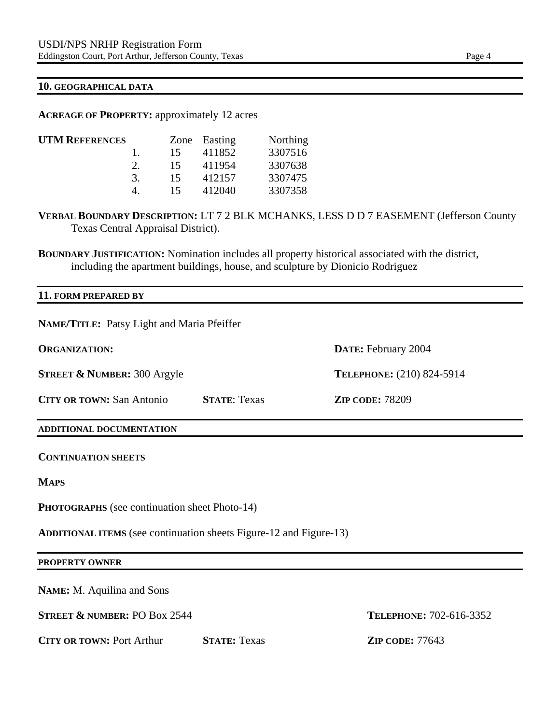#### **10. GEOGRAPHICAL DATA**

**ACREAGE OF PROPERTY:** approximately 12 acres

| <b>UTM REFERENCES</b> |   | Zone | Easting | Northing |
|-----------------------|---|------|---------|----------|
|                       |   | 15   | 411852  | 3307516  |
|                       |   | 15   | 411954  | 3307638  |
|                       | 3 | 15   | 412157  | 3307475  |
|                       |   | 15   | 412040  | 3307358  |
|                       |   |      |         |          |

**VERBAL BOUNDARY DESCRIPTION:** LT 7 2 BLK MCHANKS, LESS D D 7 EASEMENT (Jefferson County Texas Central Appraisal District).

**BOUNDARY JUSTIFICATION:** Nomination includes all property historical associated with the district, including the apartment buildings, house, and sculpture by Dionicio Rodriguez

# **11. FORM PREPARED BY NAME/TITLE:** Patsy Light and Maria Pfeiffer **ORGANIZATION: DATE:** February 2004 **STREET & NUMBER:** 300 Argyle **TELEPHONE:** (210) 824-5914 **CITY OR TOWN:** San Antonio **STATE**: Texas **ZIP CODE:** 78209 **ADDITIONAL DOCUMENTATION CONTINUATION SHEETS MAPS PHOTOGRAPHS** (see continuation sheet Photo-14) **ADDITIONAL ITEMS** (see continuation sheets Figure-12 and Figure-13) **PROPERTY OWNER NAME:** M. Aquilina and Sons **STREET & NUMBER:** PO Box 2544 **TELEPHONE:** 702-616-3352 **CITY OR TOWN: Port Arthur <b>STATE:** Texas **ZIP CODE:** 77643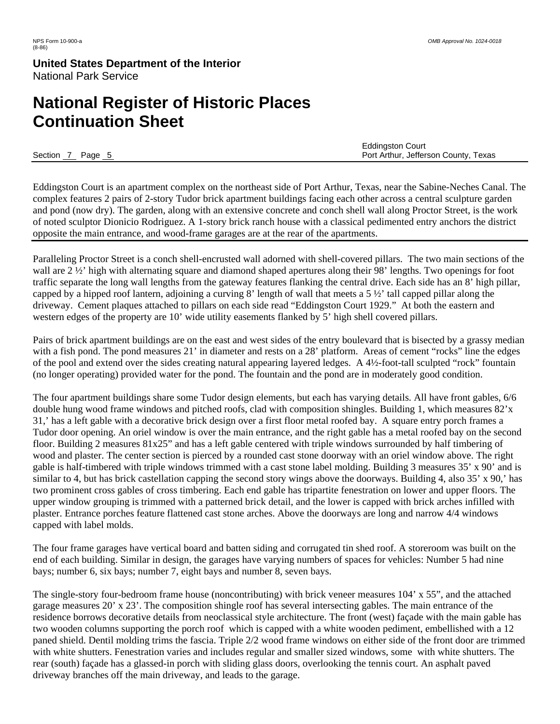# **National Register of Historic Places Continuation Sheet**

 Eddingston Court Section 7 Page 5 Port Arthur, Jefferson County, Texas

Eddingston Court is an apartment complex on the northeast side of Port Arthur, Texas, near the Sabine-Neches Canal. The complex features 2 pairs of 2-story Tudor brick apartment buildings facing each other across a central sculpture garden and pond (now dry). The garden, along with an extensive concrete and conch shell wall along Proctor Street, is the work of noted sculptor Dionicio Rodriguez. A 1-story brick ranch house with a classical pedimented entry anchors the district opposite the main entrance, and wood-frame garages are at the rear of the apartments.

Paralleling Proctor Street is a conch shell-encrusted wall adorned with shell-covered pillars. The two main sections of the wall are 2  $\frac{1}{2}$  high with alternating square and diamond shaped apertures along their 98' lengths. Two openings for foot traffic separate the long wall lengths from the gateway features flanking the central drive. Each side has an 8' high pillar, capped by a hipped roof lantern, adjoining a curving 8' length of wall that meets a 5  $\frac{1}{2}$ ' tall capped pillar along the driveway. Cement plaques attached to pillars on each side read "Eddingston Court 1929." At both the eastern and western edges of the property are 10' wide utility easements flanked by 5' high shell covered pillars.

Pairs of brick apartment buildings are on the east and west sides of the entry boulevard that is bisected by a grassy median with a fish pond. The pond measures 21' in diameter and rests on a 28' platform. Areas of cement "rocks" line the edges of the pool and extend over the sides creating natural appearing layered ledges. A 4½-foot-tall sculpted "rock" fountain (no longer operating) provided water for the pond. The fountain and the pond are in moderately good condition.

The four apartment buildings share some Tudor design elements, but each has varying details. All have front gables, 6/6 double hung wood frame windows and pitched roofs, clad with composition shingles. Building 1, which measures 82'x 31,' has a left gable with a decorative brick design over a first floor metal roofed bay. A square entry porch frames a Tudor door opening. An oriel window is over the main entrance, and the right gable has a metal roofed bay on the second floor. Building 2 measures 81x25" and has a left gable centered with triple windows surrounded by half timbering of wood and plaster. The center section is pierced by a rounded cast stone doorway with an oriel window above. The right gable is half-timbered with triple windows trimmed with a cast stone label molding. Building 3 measures 35' x 90' and is similar to 4, but has brick castellation capping the second story wings above the doorways. Building 4, also 35' x 90,' has two prominent cross gables of cross timbering. Each end gable has tripartite fenestration on lower and upper floors. The upper window grouping is trimmed with a patterned brick detail, and the lower is capped with brick arches infilled with plaster. Entrance porches feature flattened cast stone arches. Above the doorways are long and narrow 4/4 windows capped with label molds.

The four frame garages have vertical board and batten siding and corrugated tin shed roof. A storeroom was built on the end of each building. Similar in design, the garages have varying numbers of spaces for vehicles: Number 5 had nine bays; number 6, six bays; number 7, eight bays and number 8, seven bays.

The single-story four-bedroom frame house (noncontributing) with brick veneer measures 104' x 55", and the attached garage measures 20' x 23'. The composition shingle roof has several intersecting gables. The main entrance of the residence borrows decorative details from neoclassical style architecture. The front (west) façade with the main gable has two wooden columns supporting the porch roof which is capped with a white wooden pediment, embellished with a 12 paned shield. Dentil molding trims the fascia. Triple 2/2 wood frame windows on either side of the front door are trimmed with white shutters. Fenestration varies and includes regular and smaller sized windows, some with white shutters. The rear (south) façade has a glassed-in porch with sliding glass doors, overlooking the tennis court. An asphalt paved driveway branches off the main driveway, and leads to the garage.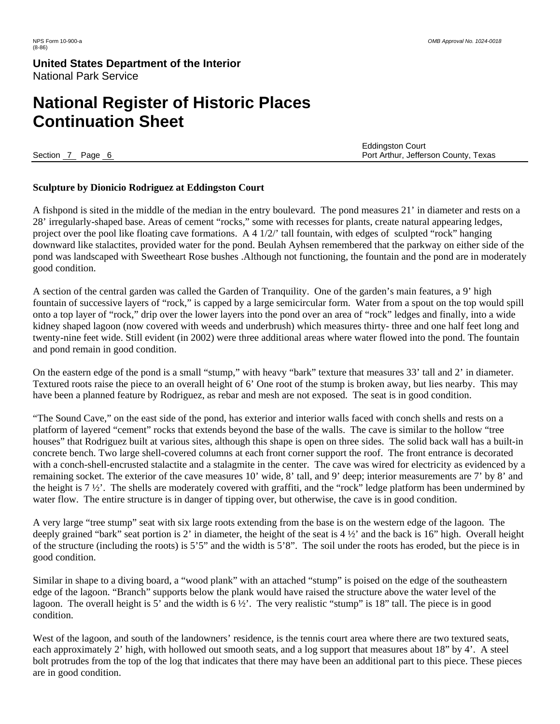# **National Register of Historic Places Continuation Sheet**

 Eddingston Court Section 7 Page 6 Port Arthur, Jefferson County, Texas

#### **Sculpture by Dionicio Rodriguez at Eddingston Court**

A fishpond is sited in the middle of the median in the entry boulevard. The pond measures 21' in diameter and rests on a 28' irregularly-shaped base. Areas of cement "rocks," some with recesses for plants, create natural appearing ledges, project over the pool like floating cave formations. A 4 1/2/' tall fountain, with edges of sculpted "rock" hanging downward like stalactites, provided water for the pond. Beulah Ayhsen remembered that the parkway on either side of the pond was landscaped with Sweetheart Rose bushes .Although not functioning, the fountain and the pond are in moderately good condition.

A section of the central garden was called the Garden of Tranquility. One of the garden's main features, a 9' high fountain of successive layers of "rock," is capped by a large semicircular form. Water from a spout on the top would spill onto a top layer of "rock," drip over the lower layers into the pond over an area of "rock" ledges and finally, into a wide kidney shaped lagoon (now covered with weeds and underbrush) which measures thirty- three and one half feet long and twenty-nine feet wide. Still evident (in 2002) were three additional areas where water flowed into the pond. The fountain and pond remain in good condition.

On the eastern edge of the pond is a small "stump," with heavy "bark" texture that measures 33' tall and 2' in diameter. Textured roots raise the piece to an overall height of 6' One root of the stump is broken away, but lies nearby. This may have been a planned feature by Rodriguez, as rebar and mesh are not exposed. The seat is in good condition.

"The Sound Cave," on the east side of the pond, has exterior and interior walls faced with conch shells and rests on a platform of layered "cement" rocks that extends beyond the base of the walls. The cave is similar to the hollow "tree houses" that Rodriguez built at various sites, although this shape is open on three sides. The solid back wall has a built-in concrete bench. Two large shell-covered columns at each front corner support the roof. The front entrance is decorated with a conch-shell-encrusted stalactite and a stalagmite in the center. The cave was wired for electricity as evidenced by a remaining socket. The exterior of the cave measures 10' wide, 8' tall, and 9' deep; interior measurements are 7' by 8' and the height is 7 ½'. The shells are moderately covered with graffiti, and the "rock" ledge platform has been undermined by water flow. The entire structure is in danger of tipping over, but otherwise, the cave is in good condition.

A very large "tree stump" seat with six large roots extending from the base is on the western edge of the lagoon. The deeply grained "bark" seat portion is 2' in diameter, the height of the seat is  $4\frac{1}{2}$  and the back is 16" high. Overall height of the structure (including the roots) is 5'5" and the width is 5'8". The soil under the roots has eroded, but the piece is in good condition.

Similar in shape to a diving board, a "wood plank" with an attached "stump" is poised on the edge of the southeastern edge of the lagoon. "Branch" supports below the plank would have raised the structure above the water level of the lagoon. The overall height is 5' and the width is 6 ½'. The very realistic "stump" is 18" tall. The piece is in good condition.

West of the lagoon, and south of the landowners' residence, is the tennis court area where there are two textured seats, each approximately 2' high, with hollowed out smooth seats, and a log support that measures about 18" by 4'. A steel bolt protrudes from the top of the log that indicates that there may have been an additional part to this piece. These pieces are in good condition.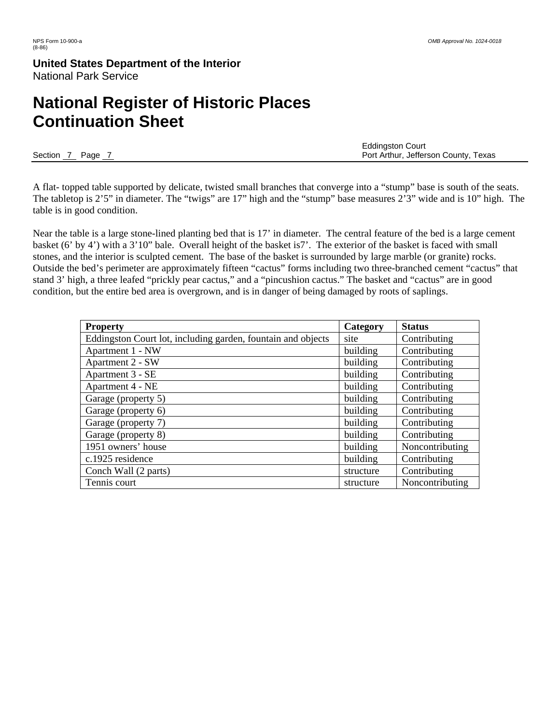# **National Register of Historic Places Continuation Sheet**

 Eddingston Court Section 7 Page 7 Page 7 Page 7 Port Arthur, Jefferson County, Texas

A flat- topped table supported by delicate, twisted small branches that converge into a "stump" base is south of the seats. The tabletop is 2'5" in diameter. The "twigs" are 17" high and the "stump" base measures 2'3" wide and is 10" high. The table is in good condition.

Near the table is a large stone-lined planting bed that is 17' in diameter. The central feature of the bed is a large cement basket (6' by 4') with a 3'10" bale. Overall height of the basket is7'. The exterior of the basket is faced with small stones, and the interior is sculpted cement. The base of the basket is surrounded by large marble (or granite) rocks. Outside the bed's perimeter are approximately fifteen "cactus" forms including two three-branched cement "cactus" that stand 3' high, a three leafed "prickly pear cactus," and a "pincushion cactus." The basket and "cactus" are in good condition, but the entire bed area is overgrown, and is in danger of being damaged by roots of saplings.

| <b>Property</b>                                              | Category  | <b>Status</b>   |
|--------------------------------------------------------------|-----------|-----------------|
| Eddingston Court lot, including garden, fountain and objects | site      | Contributing    |
| Apartment 1 - NW                                             | building  | Contributing    |
| Apartment 2 - SW                                             | building  | Contributing    |
| Apartment 3 - SE                                             | building  | Contributing    |
| Apartment 4 - NE                                             | building  | Contributing    |
| Garage (property 5)                                          | building  | Contributing    |
| Garage (property 6)                                          | building  | Contributing    |
| Garage (property 7)                                          | building  | Contributing    |
| Garage (property 8)                                          | building  | Contributing    |
| 1951 owners' house                                           | building  | Noncontributing |
| c.1925 residence                                             | building  | Contributing    |
| Conch Wall (2 parts)                                         | structure | Contributing    |
| Tennis court                                                 | structure | Noncontributing |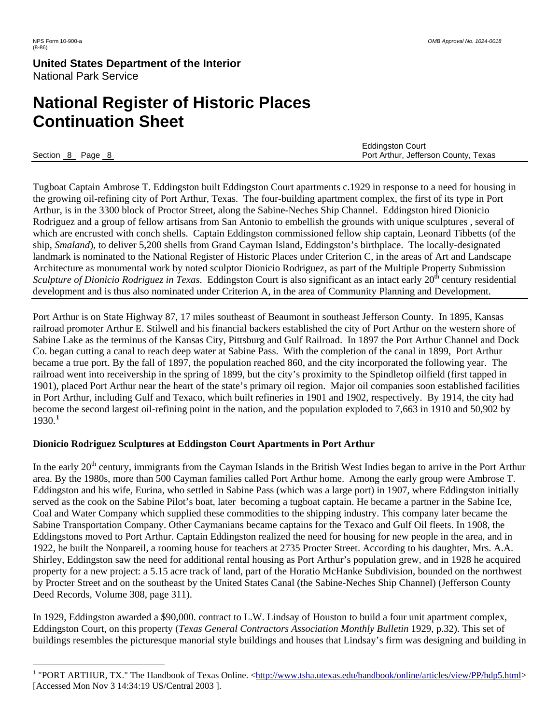# **National Register of Historic Places Continuation Sheet**

 $\overline{a}$ 

 Eddingston Court Section 8 Page 8 Page 8 Port Arthur, Jefferson County, Texas

Tugboat Captain Ambrose T. Eddingston built Eddingston Court apartments c.1929 in response to a need for housing in the growing oil-refining city of Port Arthur, Texas. The four-building apartment complex, the first of its type in Port Arthur, is in the 3300 block of Proctor Street, along the Sabine-Neches Ship Channel. Eddingston hired Dionicio Rodriguez and a group of fellow artisans from San Antonio to embellish the grounds with unique sculptures , several of which are encrusted with conch shells. Captain Eddingston commissioned fellow ship captain, Leonard Tibbetts (of the ship, *Smaland*), to deliver 5,200 shells from Grand Cayman Island, Eddingston's birthplace. The locally-designated landmark is nominated to the National Register of Historic Places under Criterion C, in the areas of Art and Landscape Architecture as monumental work by noted sculptor Dionicio Rodriguez, as part of the Multiple Property Submission *Sculpture of Dionicio Rodriguez in Texas.* Eddingston Court is also significant as an intact early 20<sup>th</sup> century residential development and is thus also nominated under Criterion A, in the area of Community Planning and Development.

Port Arthur is on State Highway 87, 17 miles southeast of Beaumont in southeast Jefferson County. In 1895, Kansas railroad promoter Arthur E. Stilwell and his financial backers established the city of Port Arthur on the western shore of Sabine Lake as the terminus of the Kansas City, Pittsburg and Gulf Railroad. In 1897 the Port Arthur Channel and Dock Co. began cutting a canal to reach deep water at Sabine Pass. With the completion of the canal in 1899, Port Arthur became a true port. By the fall of 1897, the population reached 860, and the city incorporated the following year. The railroad went into receivership in the spring of 1899, but the city's proximity to the Spindletop oilfield (first tapped in 1901), placed Port Arthur near the heart of the state's primary oil region. Major oil companies soon established facilities in Port Arthur, including Gulf and Texaco, which built refineries in 1901 and 1902, respectively. By 1914, the city had become the second largest oil-refining point in the nation, and the population exploded to 7,663 in 1910 and 50,902 by 1930.**[1](#page-7-0)**

### **Dionicio Rodriguez Sculptures at Eddingston Court Apartments in Port Arthur**

In the early 20<sup>th</sup> century, immigrants from the Cayman Islands in the British West Indies began to arrive in the Port Arthur area. By the 1980s, more than 500 Cayman families called Port Arthur home. Among the early group were Ambrose T. Eddingston and his wife, Eurina, who settled in Sabine Pass (which was a large port) in 1907, where Eddingston initially served as the cook on the Sabine Pilot's boat, later becoming a tugboat captain. He became a partner in the Sabine Ice, Coal and Water Company which supplied these commodities to the shipping industry. This company later became the Sabine Transportation Company. Other Caymanians became captains for the Texaco and Gulf Oil fleets. In 1908, the Eddingstons moved to Port Arthur. Captain Eddingston realized the need for housing for new people in the area, and in 1922, he built the Nonpareil, a rooming house for teachers at 2735 Procter Street. According to his daughter, Mrs. A.A. Shirley, Eddingston saw the need for additional rental housing as Port Arthur's population grew, and in 1928 he acquired property for a new project: a 5.15 acre track of land, part of the Horatio McHanke Subdivision, bounded on the northwest by Procter Street and on the southeast by the United States Canal (the Sabine-Neches Ship Channel) (Jefferson County Deed Records, Volume 308, page 311).

In 1929, Eddingston awarded a \$90,000. contract to L.W. Lindsay of Houston to build a four unit apartment complex, Eddingston Court, on this property (*Texas General Contractors Association Monthly Bulletin* 1929, p.32). This set of buildings resembles the picturesque manorial style buildings and houses that Lindsay's firm was designing and building in

<span id="page-7-0"></span><sup>&</sup>lt;sup>1</sup> "PORT ARTHUR, TX." The Handbook of Texas Online. <<http://www.tsha.utexas.edu/handbook/online/articles/view/PP/hdp5.html>> [Accessed Mon Nov 3 14:34:19 US/Central 2003 ].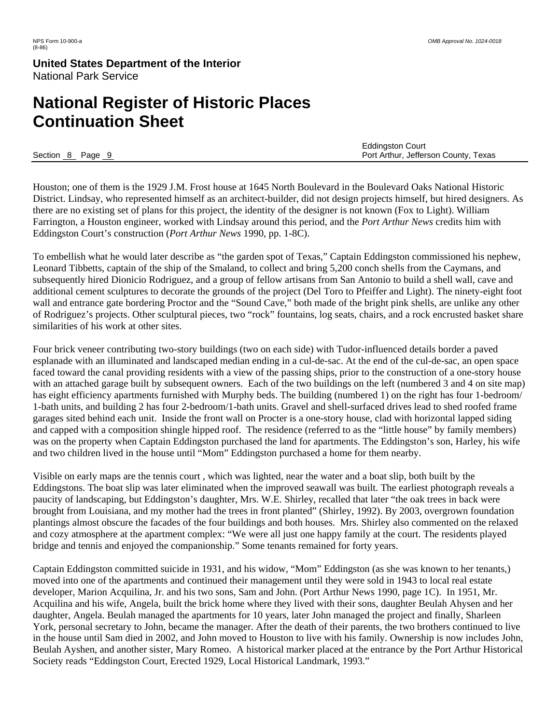# **National Register of Historic Places Continuation Sheet**

|                   | <b>Eddingston Court</b>              |
|-------------------|--------------------------------------|
| Section 8<br>Page | Port Arthur, Jefferson County, Texas |

Houston; one of them is the 1929 J.M. Frost house at 1645 North Boulevard in the Boulevard Oaks National Historic District. Lindsay, who represented himself as an architect-builder, did not design projects himself, but hired designers. As there are no existing set of plans for this project, the identity of the designer is not known (Fox to Light). William Farrington, a Houston engineer, worked with Lindsay around this period, and the *Port Arthur News* credits him with Eddingston Court's construction (*Port Arthur News* 1990, pp. 1-8C).

To embellish what he would later describe as "the garden spot of Texas," Captain Eddingston commissioned his nephew, Leonard Tibbetts, captain of the ship of the Smaland, to collect and bring 5,200 conch shells from the Caymans, and subsequently hired Dionicio Rodriguez, and a group of fellow artisans from San Antonio to build a shell wall, cave and additional cement sculptures to decorate the grounds of the project (Del Toro to Pfeiffer and Light). The ninety-eight foot wall and entrance gate bordering Proctor and the "Sound Cave," both made of the bright pink shells, are unlike any other of Rodriguez's projects. Other sculptural pieces, two "rock" fountains, log seats, chairs, and a rock encrusted basket share similarities of his work at other sites.

Four brick veneer contributing two-story buildings (two on each side) with Tudor-influenced details border a paved esplanade with an illuminated and landscaped median ending in a cul-de-sac. At the end of the cul-de-sac, an open space faced toward the canal providing residents with a view of the passing ships, prior to the construction of a one-story house with an attached garage built by subsequent owners. Each of the two buildings on the left (numbered 3 and 4 on site map) has eight efficiency apartments furnished with Murphy beds. The building (numbered 1) on the right has four 1-bedroom/ 1-bath units, and building 2 has four 2-bedroom/1-bath units. Gravel and shell-surfaced drives lead to shed roofed frame garages sited behind each unit. Inside the front wall on Procter is a one-story house, clad with horizontal lapped siding and capped with a composition shingle hipped roof. The residence (referred to as the "little house" by family members) was on the property when Captain Eddingston purchased the land for apartments. The Eddingston's son, Harley, his wife and two children lived in the house until "Mom" Eddingston purchased a home for them nearby.

Visible on early maps are the tennis court , which was lighted, near the water and a boat slip, both built by the Eddingstons. The boat slip was later eliminated when the improved seawall was built. The earliest photograph reveals a paucity of landscaping, but Eddingston's daughter, Mrs. W.E. Shirley, recalled that later "the oak trees in back were brought from Louisiana, and my mother had the trees in front planted" (Shirley, 1992). By 2003, overgrown foundation plantings almost obscure the facades of the four buildings and both houses. Mrs. Shirley also commented on the relaxed and cozy atmosphere at the apartment complex: "We were all just one happy family at the court. The residents played bridge and tennis and enjoyed the companionship." Some tenants remained for forty years.

Captain Eddingston committed suicide in 1931, and his widow, "Mom" Eddingston (as she was known to her tenants,) moved into one of the apartments and continued their management until they were sold in 1943 to local real estate developer, Marion Acquilina, Jr. and his two sons, Sam and John. (Port Arthur News 1990, page 1C). In 1951, Mr. Acquilina and his wife, Angela, built the brick home where they lived with their sons, daughter Beulah Ahysen and her daughter, Angela. Beulah managed the apartments for 10 years, later John managed the project and finally, Sharleen York, personal secretary to John, became the manager. After the death of their parents, the two brothers continued to live in the house until Sam died in 2002, and John moved to Houston to live with his family. Ownership is now includes John, Beulah Ayshen, and another sister, Mary Romeo. A historical marker placed at the entrance by the Port Arthur Historical Society reads "Eddingston Court, Erected 1929, Local Historical Landmark, 1993."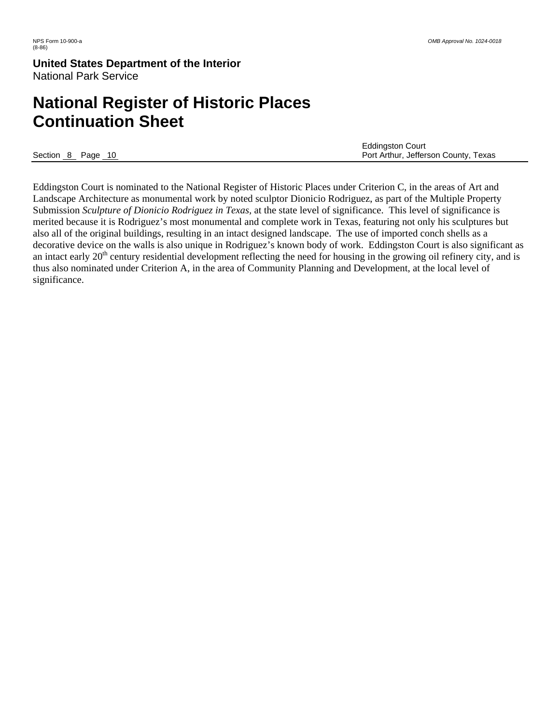# **National Register of Historic Places Continuation Sheet**

|                | <b>Eddingston Court</b>              |
|----------------|--------------------------------------|
| Section 8 Page | Port Arthur, Jefferson County, Texas |

Eddingston Court is nominated to the National Register of Historic Places under Criterion C, in the areas of Art and Landscape Architecture as monumental work by noted sculptor Dionicio Rodriguez, as part of the Multiple Property Submission *Sculpture of Dionicio Rodriguez in Texas,* at the state level of significance. This level of significance is merited because it is Rodriguez's most monumental and complete work in Texas, featuring not only his sculptures but also all of the original buildings, resulting in an intact designed landscape. The use of imported conch shells as a decorative device on the walls is also unique in Rodriguez's known body of work. Eddingston Court is also significant as an intact early  $20<sup>th</sup>$  century residential development reflecting the need for housing in the growing oil refinery city, and is thus also nominated under Criterion A, in the area of Community Planning and Development, at the local level of significance.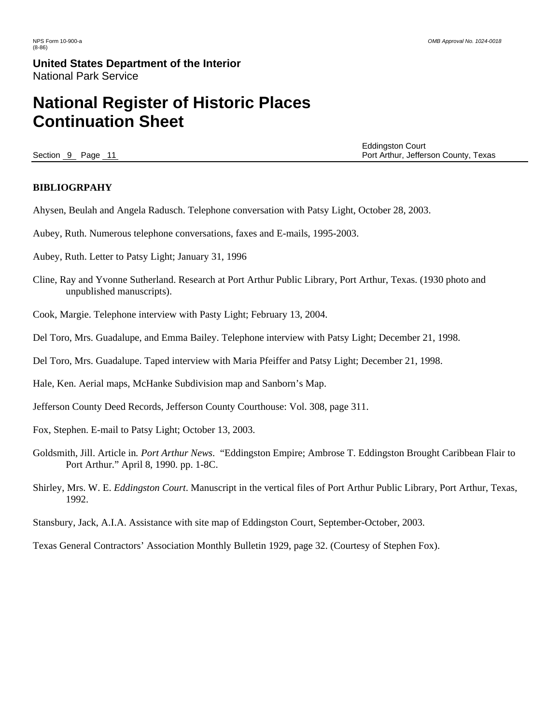# **National Register of Historic Places Continuation Sheet**

 Eddingston Court Section 9 Page 11 Page 11 Port Arthur, Jefferson County, Texas

#### **BIBLIOGRPAHY**

Ahysen, Beulah and Angela Radusch. Telephone conversation with Patsy Light, October 28, 2003.

- Aubey, Ruth. Numerous telephone conversations, faxes and E-mails, 1995-2003.
- Aubey, Ruth. Letter to Patsy Light; January 31, 1996
- Cline, Ray and Yvonne Sutherland. Research at Port Arthur Public Library, Port Arthur, Texas. (1930 photo and unpublished manuscripts).
- Cook, Margie. Telephone interview with Pasty Light; February 13, 2004.
- Del Toro, Mrs. Guadalupe, and Emma Bailey. Telephone interview with Patsy Light; December 21, 1998.
- Del Toro, Mrs. Guadalupe. Taped interview with Maria Pfeiffer and Patsy Light; December 21, 1998.
- Hale, Ken. Aerial maps, McHanke Subdivision map and Sanborn's Map.
- Jefferson County Deed Records, Jefferson County Courthouse: Vol. 308, page 311.
- Fox, Stephen. E-mail to Patsy Light; October 13, 2003.
- Goldsmith, Jill. Article in*. Port Arthur News*. "Eddingston Empire; Ambrose T. Eddingston Brought Caribbean Flair to Port Arthur." April 8, 1990. pp. 1-8C.
- Shirley, Mrs. W. E. *Eddingston Court*. Manuscript in the vertical files of Port Arthur Public Library, Port Arthur, Texas, 1992.
- Stansbury, Jack, A.I.A. Assistance with site map of Eddingston Court, September-October, 2003.

Texas General Contractors' Association Monthly Bulletin 1929, page 32. (Courtesy of Stephen Fox).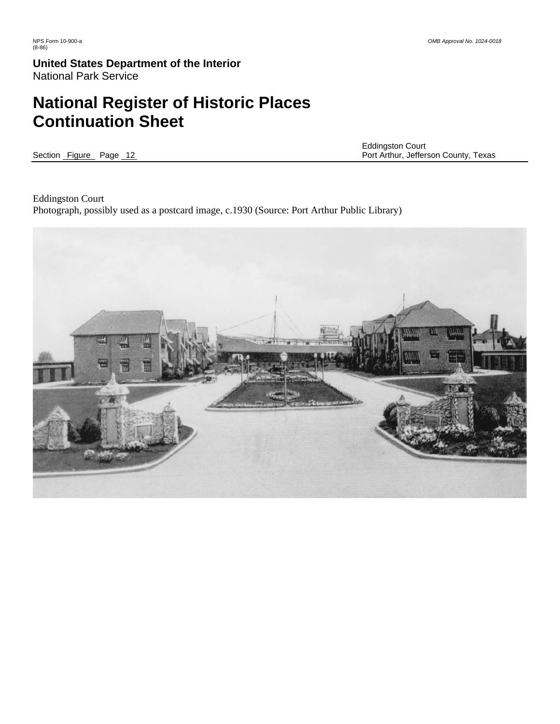# **National Register of Historic Places Continuation Sheet**

Eddingston Court<br>
Section Figure Page 12 2009 12 2009 12 2009 12:00 12:00 12:00 12:00 12:00 12:00 12:00 12:00 12:00 12:00 12:00 Port Arthur, Jefferson County, Texas

Eddingston Court Photograph, possibly used as a postcard image, c.1930 (Source: Port Arthur Public Library)

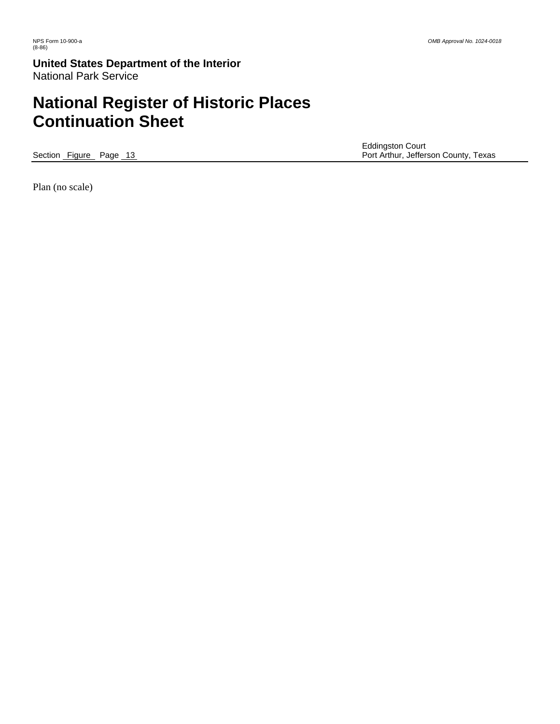# **National Register of Historic Places Continuation Sheet**

Eddingston Court<br>
Section Figure Page 13 and the Court Section Court Port Arthur, Jeffers Port Arthur, Jefferson County, Texas

Plan (no scale)